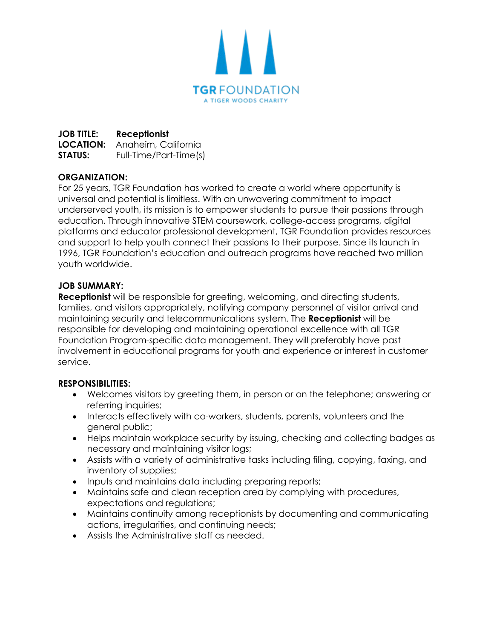

**JOB TITLE: Receptionist LOCATION:** Anaheim, California **STATUS:** Full-Time/Part-Time(s)

# **ORGANIZATION:**

For 25 years, TGR Foundation has worked to create a world where opportunity is universal and potential is limitless. With an unwavering commitment to impact underserved youth, its mission is to empower students to pursue their passions through education. Through innovative STEM coursework, college-access programs, digital platforms and educator professional development, TGR Foundation provides resources and support to help youth connect their passions to their purpose. Since its launch in 1996, TGR Foundation's education and outreach programs have reached two million youth worldwide.

## **JOB SUMMARY:**

**Receptionist** will be responsible for greeting, welcoming, and directing students, families, and visitors appropriately, notifying company personnel of visitor arrival and maintaining security and telecommunications system. The **Receptionist** will be responsible for developing and maintaining operational excellence with all TGR Foundation Program-specific data management. They will preferably have past involvement in educational programs for youth and experience or interest in customer service.

## **RESPONSIBILITIES:**

- Welcomes visitors by greeting them, in person or on the telephone; answering or referring inquiries;
- Interacts effectively with co-workers, students, parents, volunteers and the general public;
- Helps maintain workplace security by issuing, checking and collecting badges as necessary and maintaining visitor logs;
- Assists with a variety of administrative tasks including filing, copying, faxing, and inventory of supplies;
- Inputs and maintains data including preparing reports;
- Maintains safe and clean reception area by complying with procedures, expectations and regulations;
- Maintains continuity among receptionists by documenting and communicating actions, irregularities, and continuing needs;
- Assists the Administrative staff as needed.